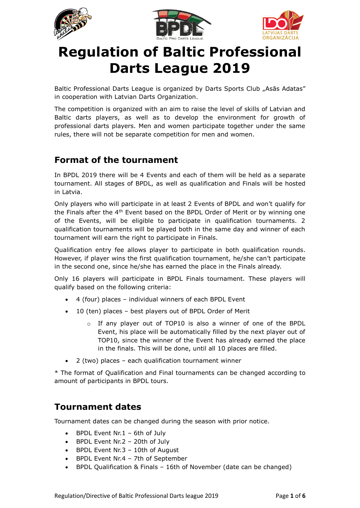





# **Regulation of Baltic Professional Darts League 2019**

Baltic Professional Darts League is organized by Darts Sports Club "Asās Adatas" in cooperation with Latvian Darts Organization.

The competition is organized with an aim to raise the level of skills of Latvian and Baltic darts players, as well as to develop the environment for growth of professional darts players. Men and women participate together under the same rules, there will not be separate competition for men and women.

### **Format of the tournament**

In BPDL 2019 there will be 4 Events and each of them will be held as a separate tournament. All stages of BPDL, as well as qualification and Finals will be hosted in Latvia.

Only players who will participate in at least 2 Events of BPDL and won't qualify for the Finals after the  $4<sup>th</sup>$  Event based on the BPDL Order of Merit or by winning one of the Events, will be eligible to participate in qualification tournaments. 2 qualification tournaments will be played both in the same day and winner of each tournament will earn the right to participate in Finals.

Qualification entry fee allows player to participate in both qualification rounds. However, if player wins the first qualification tournament, he/she can't participate in the second one, since he/she has earned the place in the Finals already.

Only 16 players will participate in BPDL Finals tournament. These players will qualify based on the following criteria:

- 4 (four) places individual winners of each BPDL Event
- 10 (ten) places best players out of BPDL Order of Merit
	- $\circ$  If any player out of TOP10 is also a winner of one of the BPDL Event, his place will be automatically filled by the next player out of TOP10, since the winner of the Event has already earned the place in the finals. This will be done, until all 10 places are filled.
- 2 (two) places each qualification tournament winner

\* The format of Qualification and Final tournaments can be changed according to amount of participants in BPDL tours.

### **Tournament dates**

Tournament dates can be changed during the season with prior notice.

- BPDL Event Nr.1 6th of July
- BPDL Event Nr.2 20th of July
- BPDL Event Nr.3 10th of August
- BPDL Event Nr.4 7th of September
- BPDL Qualification & Finals 16th of November (date can be changed)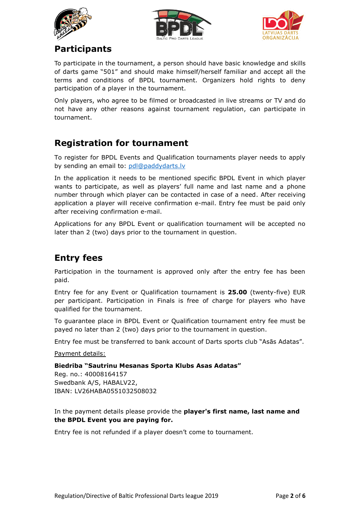





# **Participants**

To participate in the tournament, a person should have basic knowledge and skills of darts game "501" and should make himself/herself familiar and accept all the terms and conditions of BPDL tournament. Organizers hold rights to deny participation of a player in the tournament.

Only players, who agree to be filmed or broadcasted in live streams or TV and do not have any other reasons against tournament regulation, can participate in tournament.

## **Registration for tournament**

To register for BPDL Events and Qualification tournaments player needs to apply by sending an email to: [pdl@paddydarts.lv](mailto:pdl@paddydarts.lv)

In the application it needs to be mentioned specific BPDL Event in which player wants to participate, as well as players' full name and last name and a phone number through which player can be contacted in case of a need. After receiving application a player will receive confirmation e-mail. Entry fee must be paid only after receiving confirmation e-mail.

Applications for any BPDL Event or qualification tournament will be accepted no later than 2 (two) days prior to the tournament in question.

# **Entry fees**

Participation in the tournament is approved only after the entry fee has been paid.

Entry fee for any Event or Qualification tournament is **25.00** (twenty-five) EUR per participant. Participation in Finals is free of charge for players who have qualified for the tournament.

To guarantee place in BPDL Event or Qualification tournament entry fee must be payed no later than 2 (two) days prior to the tournament in question.

Entry fee must be transferred to bank account of Darts sports club "Asās Adatas".

Payment details:

**Biedriba "Sautrinu Mesanas Sporta Klubs Asas Adatas"**

Reg. no.: 40008164157 Swedbank A/S, HABALV22, IBAN: LV26HABA0551032508032

In the payment details please provide the **player's first name, last name and the BPDL Event you are paying for.**

Entry fee is not refunded if a player doesn't come to tournament.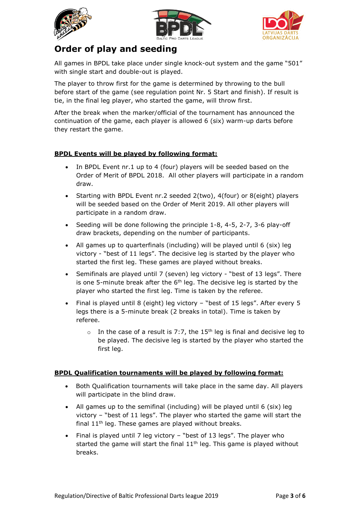





## **Order of play and seeding**

All games in BPDL take place under single knock-out system and the game "501" with single start and double-out is played.

The player to throw first for the game is determined by throwing to the bull before start of the game (see regulation point Nr. 5 Start and finish). If result is tie, in the final leg player, who started the game, will throw first.

After the break when the marker/official of the tournament has announced the continuation of the game, each player is allowed 6 (six) warm-up darts before they restart the game.

#### **BPDL Events will be played by following format:**

- In BPDL Event nr.1 up to 4 (four) players will be seeded based on the Order of Merit of BPDL 2018. All other players will participate in a random draw.
- Starting with BPDL Event nr.2 seeded 2(two), 4(four) or 8(eight) players will be seeded based on the Order of Merit 2019. All other players will participate in a random draw.
- Seeding will be done following the principle 1-8, 4-5, 2-7, 3-6 play-off draw brackets, depending on the number of participants.
- All games up to quarterfinals (including) will be played until 6 (six) leg victory - "best of 11 legs". The decisive leg is started by the player who started the first leg. These games are played without breaks.
- Semifinals are played until 7 (seven) leg victory "best of 13 legs". There is one 5-minute break after the  $6<sup>th</sup>$  leg. The decisive leg is started by the player who started the first leg. Time is taken by the referee.
- Final is played until 8 (eight) leg victory "best of 15 legs". After every 5 legs there is a 5-minute break (2 breaks in total). Time is taken by referee.
	- $\circ$  In the case of a result is 7:7, the 15<sup>th</sup> leg is final and decisive leg to be played. The decisive leg is started by the player who started the first leg.

#### **BPDL Qualification tournaments will be played by following format:**

- Both Qualification tournaments will take place in the same day. All players will participate in the blind draw.
- All games up to the semifinal (including) will be played until 6 (six) leg victory – "best of 11 legs". The player who started the game will start the final  $11<sup>th</sup>$  leg. These games are played without breaks.
- Final is played until 7 leg victory "best of 13 legs". The player who started the game will start the final  $11<sup>th</sup>$  leg. This game is played without breaks.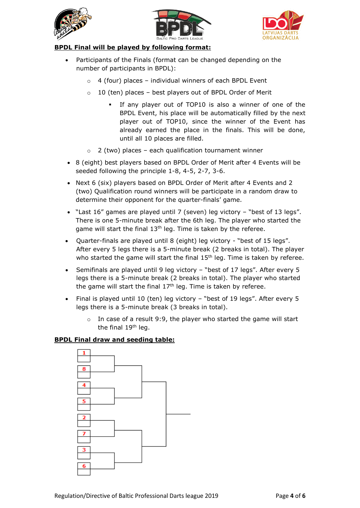





#### **BPDL Final will be played by following format:**

- Participants of the Finals (format can be changed depending on the number of participants in BPDL):
	- $\circ$  4 (four) places individual winners of each BPDL Event
	- $\circ$  10 (ten) places best players out of BPDL Order of Merit
		- If any player out of TOP10 is also a winner of one of the BPDL Event, his place will be automatically filled by the next player out of TOP10, since the winner of the Event has already earned the place in the finals. This will be done, until all 10 places are filled.
	- $\circ$  2 (two) places each qualification tournament winner
- 8 (eight) best players based on BPDL Order of Merit after 4 Events will be seeded following the principle 1-8, 4-5, 2-7, 3-6.
- Next 6 (six) players based on BPDL Order of Merit after 4 Events and 2 (two) Qualification round winners will be participate in a random draw to determine their opponent for the quarter-finals' game.
- "Last 16" games are played until 7 (seven) leg victory "best of 13 legs". There is one 5-minute break after the 6th leg. The player who started the game will start the final  $13<sup>th</sup>$  leg. Time is taken by the referee.
- Quarter-finals are played until 8 (eight) leg victory "best of 15 legs". After every 5 legs there is a 5-minute break (2 breaks in total). The player who started the game will start the final  $15<sup>th</sup>$  leg. Time is taken by referee.
- Semifinals are played until 9 leg victory "best of 17 legs". After every 5 legs there is a 5-minute break (2 breaks in total). The player who started the game will start the final  $17<sup>th</sup>$  leg. Time is taken by referee.
- Final is played until 10 (ten) leg victory "best of 19 legs". After every 5 legs there is a 5-minute break (3 breaks in total).
	- $\circ$  In case of a result 9:9, the player who started the game will start the final 19<sup>th</sup> leg.

#### **BPDL Final draw and seeding table:**

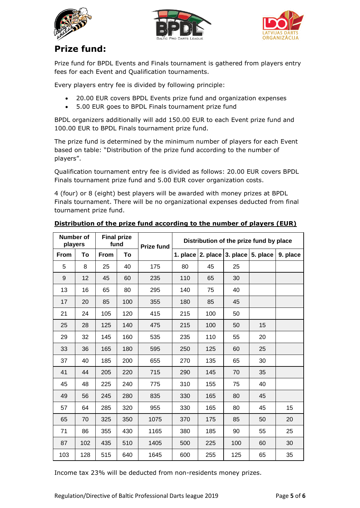





# **Prize fund:**

Prize fund for BPDL Events and Finals tournament is gathered from players entry fees for each Event and Qualification tournaments.

Every players entry fee is divided by following principle:

- 20.00 EUR covers BPDL Events prize fund and organization expenses
- 5.00 EUR goes to BPDL Finals tournament prize fund

BPDL organizers additionally will add 150.00 EUR to each Event prize fund and 100.00 EUR to BPDL Finals tournament prize fund.

The prize fund is determined by the minimum number of players for each Event based on table: "Distribution of the prize fund according to the number of players".

Qualification tournament entry fee is divided as follows: 20.00 EUR covers BPDL Finals tournament prize fund and 5.00 EUR cover organization costs.

4 (four) or 8 (eight) best players will be awarded with money prizes at BPDL Finals tournament. There will be no organizational expenses deducted from final tournament prize fund.

| <b>Number of</b><br>players |     | <b>Final prize</b><br>fund |     | <b>Prize fund</b> | Distribution of the prize fund by place |                                  |     |          |          |
|-----------------------------|-----|----------------------------|-----|-------------------|-----------------------------------------|----------------------------------|-----|----------|----------|
| From                        | To  | <b>From</b>                | To  |                   |                                         | 1. place $ 2.$ place $ 3.$ place |     | 5. place | 9. place |
| 5                           | 8   | 25                         | 40  | 175               | 80                                      | 45                               | 25  |          |          |
| 9                           | 12  | 45                         | 60  | 235               | 110                                     | 65                               | 30  |          |          |
| 13                          | 16  | 65                         | 80  | 295               | 140                                     | 75                               | 40  |          |          |
| 17                          | 20  | 85                         | 100 | 355               | 180                                     | 85                               | 45  |          |          |
| 21                          | 24  | 105                        | 120 | 415               | 215                                     | 100                              | 50  |          |          |
| 25                          | 28  | 125                        | 140 | 475               | 215                                     | 100                              | 50  | 15       |          |
| 29                          | 32  | 145                        | 160 | 535               | 235                                     | 110                              | 55  | 20       |          |
| 33                          | 36  | 165                        | 180 | 595               | 250                                     | 125                              | 60  | 25       |          |
| 37                          | 40  | 185                        | 200 | 655               | 270                                     | 135                              | 65  | 30       |          |
| 41                          | 44  | 205                        | 220 | 715               | 290                                     | 145                              | 70  | 35       |          |
| 45                          | 48  | 225                        | 240 | 775               | 310                                     | 155                              | 75  | 40       |          |
| 49                          | 56  | 245                        | 280 | 835               | 330                                     | 165                              | 80  | 45       |          |
| 57                          | 64  | 285                        | 320 | 955               | 330                                     | 165                              | 80  | 45       | 15       |
| 65                          | 70  | 325                        | 350 | 1075              | 370                                     | 175                              | 85  | 50       | 20       |
| 71                          | 86  | 355                        | 430 | 1165              | 380                                     | 185                              | 90  | 55       | 25       |
| 87                          | 102 | 435                        | 510 | 1405              | 500                                     | 225                              | 100 | 60       | 30       |
| 103                         | 128 | 515                        | 640 | 1645              | 600                                     | 255                              | 125 | 65       | 35       |

#### **Distribution of the prize fund according to the number of players (EUR)**

Income tax 23% will be deducted from non-residents money prizes.